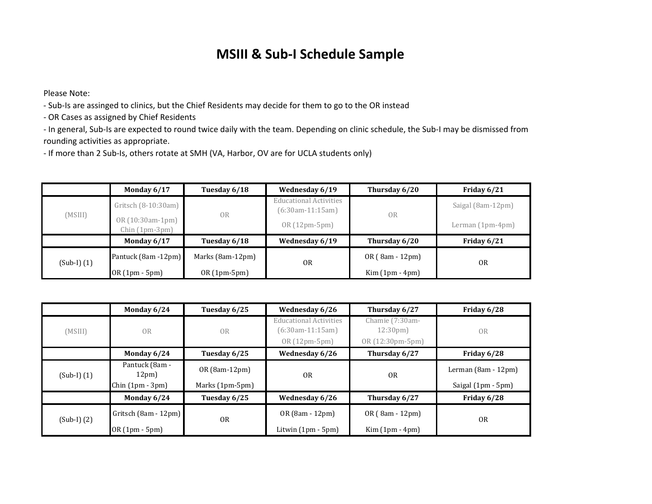## **MSIII & Sub‐I Schedule Sample**

Please Note:

‐ Sub‐Is are assinged to clinics, but the Chief Residents may decide for them to go to the OR instead

‐ OR Cases as assigned by Chief Residents

‐ In general, Sub‐Is are expected to round twice daily with the team. Depending on clinic schedule, the Sub‐I may be dismissed from rounding activities as appropriate.

‐ If more than 2 Sub‐Is, others rotate at SMH (VA, Harbor, OV are for UCLA students only)

|                 | Monday 6/17                         | Tuesday 6/18     | Wednesday 6/19                                      | Thursday 6/20    | Friday 6/21       |
|-----------------|-------------------------------------|------------------|-----------------------------------------------------|------------------|-------------------|
| (MSIII)         | Gritsch (8-10:30am)                 | 0 <sub>R</sub>   | <b>Educational Activities</b><br>$(6:30am-11:15am)$ | <b>OR</b>        | Saigal (8am-12pm) |
|                 | OR (10:30am-1pm)<br>$Chin(1pm-3pm)$ |                  | $OR(12pm-5pm)$                                      |                  | Lerman (1pm-4pm)  |
|                 | Monday 6/17                         | Tuesday 6/18     | Wednesday 6/19                                      | Thursday 6/20    | Friday 6/21       |
| $(Sub-I)$ $(1)$ | Pantuck (8am -12pm)                 | Marks (8am-12pm) | <b>OR</b>                                           | $OR(8am - 12pm)$ | 0 <sub>R</sub>    |
|                 | OR (1pm - 5pm)                      | $OR(1pm-5pm)$    |                                                     | $Kim(1pm - 4pm)$ |                   |

|                 | Monday 6/24             | Tuesday 6/25    | Wednesday 6/26                                      | Thursday 6/27                        | Friday 6/28           |
|-----------------|-------------------------|-----------------|-----------------------------------------------------|--------------------------------------|-----------------------|
| (MSIII)         | OR                      | OR              | <b>Educational Activities</b><br>$(6:30am-11:15am)$ | Chamie (7:30am-<br>$12:30 \text{pm}$ | <b>OR</b>             |
|                 |                         |                 | OR (12pm-5pm)                                       | OR (12:30pm-5pm)                     |                       |
|                 | Monday 6/24             | Tuesday 6/25    | Wednesday 6/26                                      | Thursday 6/27                        | Friday 6/28           |
| $(Sub-I)$ $(1)$ | Pantuck (8am -<br>12pm) | OR (8am-12pm)   | 0 <sub>R</sub>                                      | <b>OR</b>                            | Lerman $(8am - 12pm)$ |
|                 | $Chin(1pm-3pm)$         | Marks (1pm-5pm) |                                                     |                                      | Saigal (1pm - 5pm)    |
|                 | Monday 6/24             | Tuesday 6/25    | Wednesday 6/26                                      | Thursday 6/27                        | Friday 6/28           |
| $(Sub-I)$ $(2)$ | Gritsch (8am - 12pm)    | 0 <sub>R</sub>  | OR (8am - 12pm)                                     | OR (8am - 12pm)                      | 0 <sub>R</sub>        |
|                 | OR (1pm - 5pm)          |                 | Litwin (1pm - 5pm)                                  | $Kim(1pm - 4pm)$                     |                       |